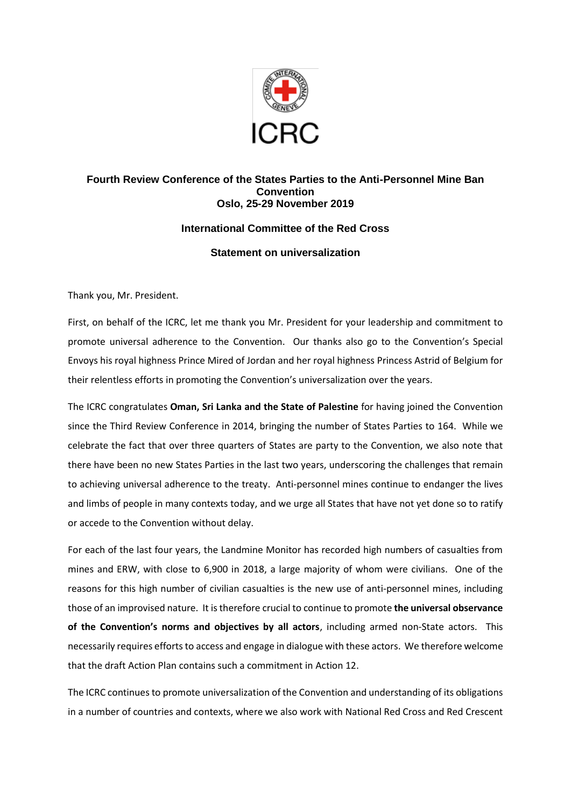

## **Fourth Review Conference of the States Parties to the Anti-Personnel Mine Ban Convention Oslo, 25-29 November 2019**

## **International Committee of the Red Cross**

## **Statement on universalization**

Thank you, Mr. President.

First, on behalf of the ICRC, let me thank you Mr. President for your leadership and commitment to promote universal adherence to the Convention. Our thanks also go to the Convention's Special Envoys his royal highness Prince Mired of Jordan and her royal highness Princess Astrid of Belgium for their relentless efforts in promoting the Convention's universalization over the years.

The ICRC congratulates **Oman, Sri Lanka and the State of Palestine** for having joined the Convention since the Third Review Conference in 2014, bringing the number of States Parties to 164. While we celebrate the fact that over three quarters of States are party to the Convention, we also note that there have been no new States Parties in the last two years, underscoring the challenges that remain to achieving universal adherence to the treaty. Anti-personnel mines continue to endanger the lives and limbs of people in many contexts today, and we urge all States that have not yet done so to ratify or accede to the Convention without delay.

For each of the last four years, the Landmine Monitor has recorded high numbers of casualties from mines and ERW, with close to 6,900 in 2018, a large majority of whom were civilians. One of the reasons for this high number of civilian casualties is the new use of anti-personnel mines, including those of an improvised nature. It is therefore crucial to continue to promote **the universal observance of the Convention's norms and objectives by all actors**, including armed non-State actors. This necessarily requires efforts to access and engage in dialogue with these actors. We therefore welcome that the draft Action Plan contains such a commitment in Action 12.

The ICRC continues to promote universalization of the Convention and understanding of its obligations in a number of countries and contexts, where we also work with National Red Cross and Red Crescent